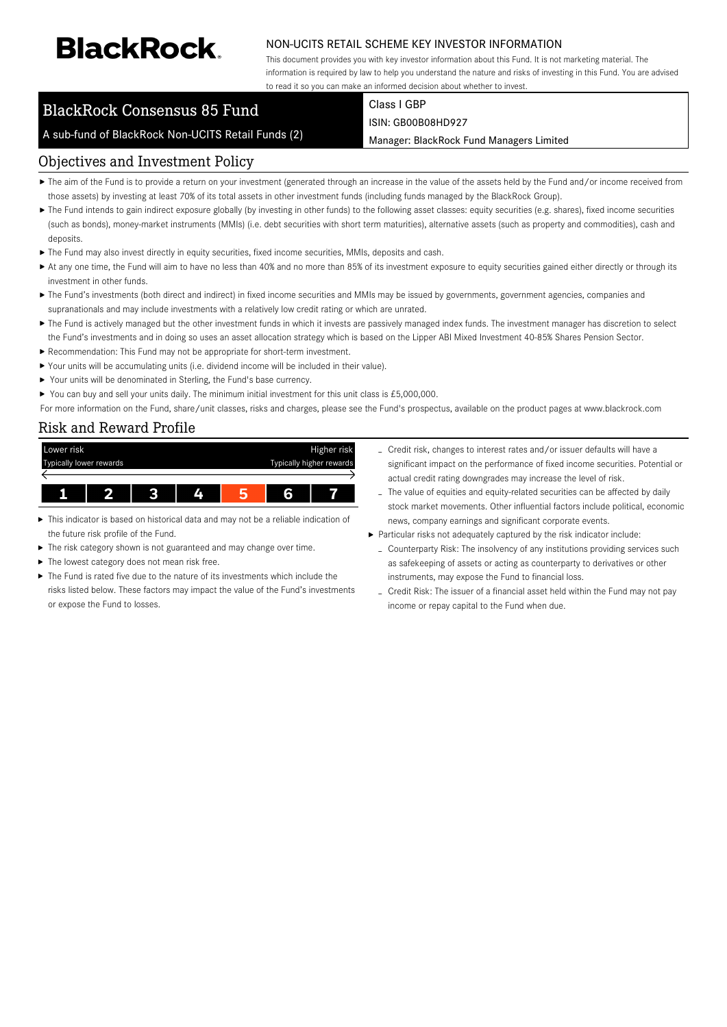# **BlackRock**

#### NON-UCITS RETAIL SCHEME KEY INVESTOR INFORMATION

This document provides you with key investor information about this Fund. It is not marketing material. The information is required by law to help you understand the nature and risks of investing in this Fund. You are advised to read it so you can make an informed decision about whether to invest.

## BlackRock Consensus 85 Fund

A sub-fund of BlackRock Non-UCITS Retail Funds (2)

Class I GBP ISIN: GB00B08HD927

Manager: BlackRock Fund Managers Limited

#### Objectives and Investment Policy

- ▶ The aim of the Fund is to provide a return on your investment (generated through an increase in the value of the assets held by the Fund and/or income received from those assets) by investing at least 70% of its total assets in other investment funds (including funds managed by the BlackRock Group).
- ▶ The Fund intends to gain indirect exposure globally (by investing in other funds) to the following asset classes: equity securities (e.g. shares), fixed income securities (such as bonds), money-market instruments (MMIs) (i.e. debt securities with short term maturities), alternative assets (such as property and commodities), cash and deposits.
- The Fund may also invest directly in equity securities, fixed income securities, MMIs, deposits and cash.
- At any one time, the Fund will aim to have no less than 40% and no more than 85% of its investment exposure to equity securities gained either directly or through its investment in other funds.
- ▶ The Fund's investments (both direct and indirect) in fixed income securities and MMIs may be issued by governments, government agencies, companies and supranationals and may include investments with a relatively low credit rating or which are unrated.
- ▶ The Fund is actively managed but the other investment funds in which it invests are passively managed index funds. The investment manager has discretion to select the Fund's investments and in doing so uses an asset allocation strategy which is based on the Lipper ABI Mixed Investment 40-85% Shares Pension Sector.
- Recommendation: This Fund may not be appropriate for short-term investment.
- Your units will be accumulating units (i.e. dividend income will be included in their value).
- ▶ Your units will be denominated in Sterling, the Fund's base currency.
- ▶ You can buy and sell your units daily. The minimum initial investment for this unit class is £5,000,000.

For more information on the Fund, share/unit classes, risks and charges, please see the Fund's prospectus, available on the product pages at www.blackrock.com

#### Risk and Reward Profile



- This indicator is based on historical data and may not be a reliable indication of the future risk profile of the Fund.
- The risk category shown is not guaranteed and may change over time.
- The lowest category does not mean risk free. ь
- The Fund is rated five due to the nature of its investments which include the risks listed below. These factors may impact the value of the Fund's investments or expose the Fund to losses.
- Credit risk, changes to interest rates and/or issuer defaults will have a significant impact on the performance of fixed income securities. Potential or actual credit rating downgrades may increase the level of risk.
- The value of equities and equity-related securities can be affected by daily stock market movements. Other influential factors include political, economic news, company earnings and significant corporate events.
- Particular risks not adequately captured by the risk indicator include:
	- Counterparty Risk: The insolvency of any institutions providing services such as safekeeping of assets or acting as counterparty to derivatives or other instruments, may expose the Fund to financial loss.
	- Credit Risk: The issuer of a financial asset held within the Fund may not pay income or repay capital to the Fund when due.